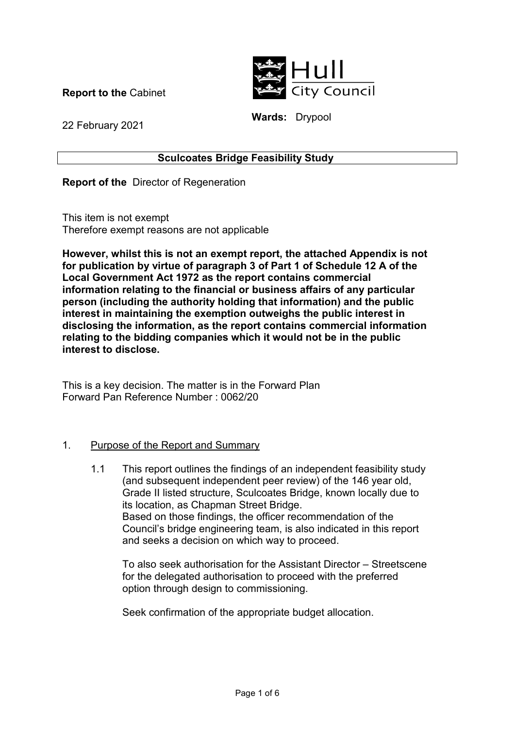**Report to the** Cabinet



**Wards:** Drypool

22 February 2021

# **Sculcoates Bridge Feasibility Study**

**Report of the** Director of Regeneration

This item is not exempt Therefore exempt reasons are not applicable

**However, whilst this is not an exempt report, the attached Appendix is not for publication by virtue of paragraph 3 of Part 1 of Schedule 12 A of the Local Government Act 1972 as the report contains commercial information relating to the financial or business affairs of any particular person (including the authority holding that information) and the public interest in maintaining the exemption outweighs the public interest in disclosing the information, as the report contains commercial information relating to the bidding companies which it would not be in the public interest to disclose.** 

This is a key decision. The matter is in the Forward Plan Forward Pan Reference Number : 0062/20

### 1. Purpose of the Report and Summary

 1.1 This report outlines the findings of an independent feasibility study (and subsequent independent peer review) of the 146 year old, Grade II listed structure, Sculcoates Bridge, known locally due to its location, as Chapman Street Bridge. Based on those findings, the officer recommendation of the Council's bridge engineering team, is also indicated in this report and seeks a decision on which way to proceed.

To also seek authorisation for the Assistant Director – Streetscene for the delegated authorisation to proceed with the preferred option through design to commissioning.

Seek confirmation of the appropriate budget allocation.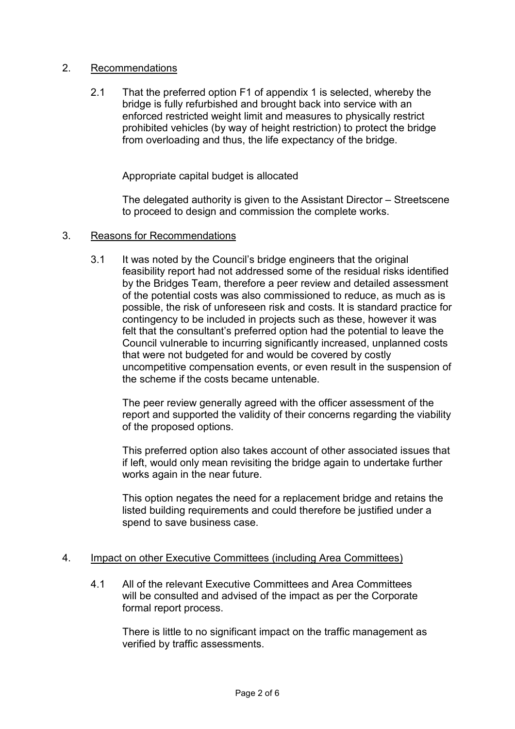# 2. Recommendations

 2.1 That the preferred option F1 of appendix 1 is selected, whereby the bridge is fully refurbished and brought back into service with an enforced restricted weight limit and measures to physically restrict prohibited vehicles (by way of height restriction) to protect the bridge from overloading and thus, the life expectancy of the bridge.

Appropriate capital budget is allocated

The delegated authority is given to the Assistant Director – Streetscene to proceed to design and commission the complete works.

#### 3. Reasons for Recommendations

 3.1 It was noted by the Council's bridge engineers that the original feasibility report had not addressed some of the residual risks identified by the Bridges Team, therefore a peer review and detailed assessment of the potential costs was also commissioned to reduce, as much as is possible, the risk of unforeseen risk and costs. It is standard practice for contingency to be included in projects such as these, however it was felt that the consultant's preferred option had the potential to leave the Council vulnerable to incurring significantly increased, unplanned costs that were not budgeted for and would be covered by costly uncompetitive compensation events, or even result in the suspension of the scheme if the costs became untenable.

The peer review generally agreed with the officer assessment of the report and supported the validity of their concerns regarding the viability of the proposed options.

This preferred option also takes account of other associated issues that if left, would only mean revisiting the bridge again to undertake further works again in the near future.

This option negates the need for a replacement bridge and retains the listed building requirements and could therefore be justified under a spend to save business case.

### 4. Impact on other Executive Committees (including Area Committees)

 4.1 All of the relevant Executive Committees and Area Committees will be consulted and advised of the impact as per the Corporate formal report process.

There is little to no significant impact on the traffic management as verified by traffic assessments.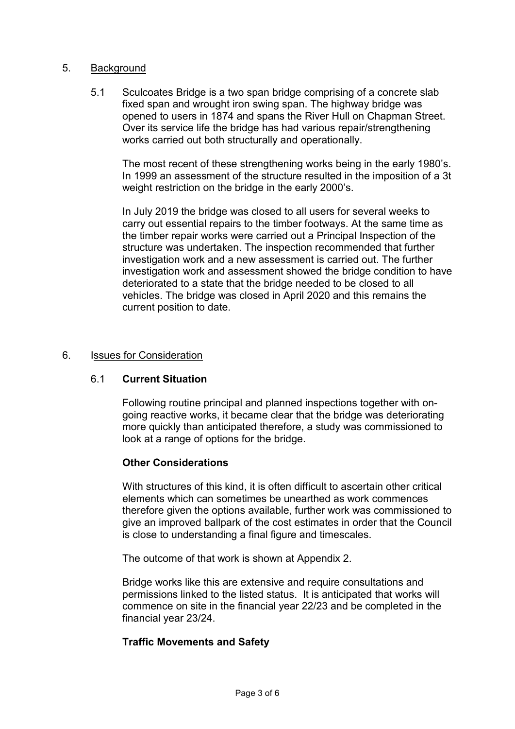### 5. Background

 5.1 Sculcoates Bridge is a two span bridge comprising of a concrete slab fixed span and wrought iron swing span. The highway bridge was opened to users in 1874 and spans the River Hull on Chapman Street. Over its service life the bridge has had various repair/strengthening works carried out both structurally and operationally.

The most recent of these strengthening works being in the early 1980's. In 1999 an assessment of the structure resulted in the imposition of a 3t weight restriction on the bridge in the early 2000's.

In July 2019 the bridge was closed to all users for several weeks to carry out essential repairs to the timber footways. At the same time as the timber repair works were carried out a Principal Inspection of the structure was undertaken. The inspection recommended that further investigation work and a new assessment is carried out. The further investigation work and assessment showed the bridge condition to have deteriorated to a state that the bridge needed to be closed to all vehicles. The bridge was closed in April 2020 and this remains the current position to date.

#### 6. Issues for Consideration

### 6.1 **Current Situation**

Following routine principal and planned inspections together with ongoing reactive works, it became clear that the bridge was deteriorating more quickly than anticipated therefore, a study was commissioned to look at a range of options for the bridge.

#### **Other Considerations**

With structures of this kind, it is often difficult to ascertain other critical elements which can sometimes be unearthed as work commences therefore given the options available, further work was commissioned to give an improved ballpark of the cost estimates in order that the Council is close to understanding a final figure and timescales.

The outcome of that work is shown at Appendix 2.

Bridge works like this are extensive and require consultations and permissions linked to the listed status. It is anticipated that works will commence on site in the financial year 22/23 and be completed in the financial year 23/24.

### **Traffic Movements and Safety**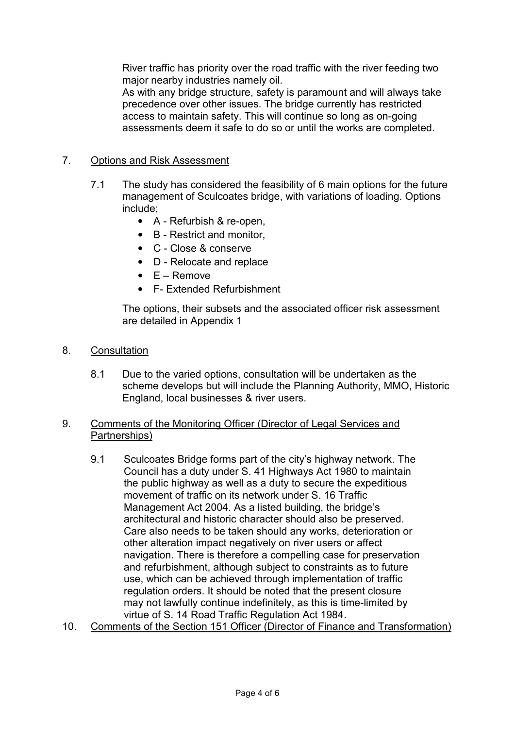River traffic has priority over the road traffic with the river feeding two major nearby industries namely oil.

As with any bridge structure, safety is paramount and will always take precedence over other issues. The bridge currently has restricted access to maintain safety. This will continue so long as on-going assessments deem it safe to do so or until the works are completed.

# 7. Options and Risk Assessment

- 7.1 The study has considered the feasibility of 6 main options for the future management of Sculcoates bridge, with variations of loading. Options include;
	- A Refurbish & re-open,
	- B Restrict and monitor,
	- C Close & conserve
	- D Relocate and replace
	- $\bullet$  E Remove
	- F- Extended Refurbishment

The options, their subsets and the associated officer risk assessment are detailed in Appendix 1

- 8. Consultation
	- 8.1 Due to the varied options, consultation will be undertaken as the scheme develops but will include the Planning Authority, MMO, Historic England, local businesses & river users.

# 9. Comments of the Monitoring Officer (Director of Legal Services and Partnerships)

- 9.1 Sculcoates Bridge forms part of the city's highway network. The Council has a duty under S. 41 Highways Act 1980 to maintain the public highway as well as a duty to secure the expeditious movement of traffic on its network under S. 16 Traffic Management Act 2004. As a listed building, the bridge's architectural and historic character should also be preserved. Care also needs to be taken should any works, deterioration or other alteration impact negatively on river users or affect navigation. There is therefore a compelling case for preservation and refurbishment, although subject to constraints as to future use, which can be achieved through implementation of traffic regulation orders. It should be noted that the present closure may not lawfully continue indefinitely, as this is time-limited by virtue of S. 14 Road Traffic Regulation Act 1984.
- 10. Comments of the Section 151 Officer (Director of Finance and Transformation)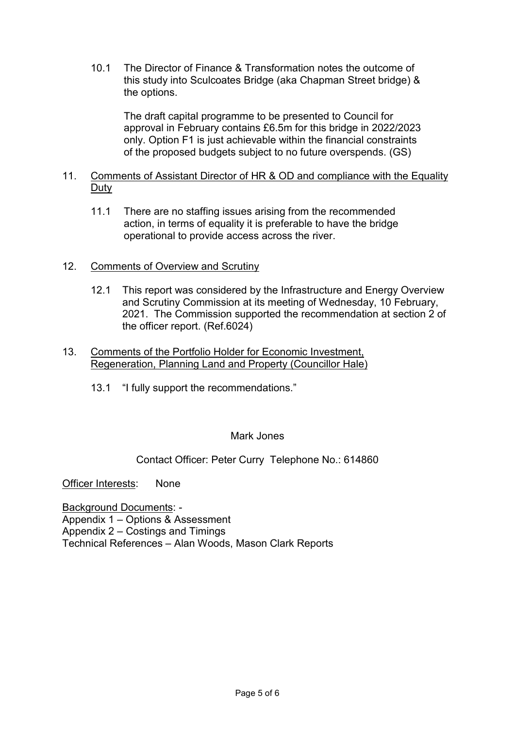10.1 The Director of Finance & Transformation notes the outcome of this study into Sculcoates Bridge (aka Chapman Street bridge) & the options.

The draft capital programme to be presented to Council for approval in February contains £6.5m for this bridge in 2022/2023 only. Option F1 is just achievable within the financial constraints of the proposed budgets subject to no future overspends. (GS)

### 11. Comments of Assistant Director of HR & OD and compliance with the Equality **Duty**

 11.1 There are no staffing issues arising from the recommended action, in terms of equality it is preferable to have the bridge operational to provide access across the river.

# 12. Comments of Overview and Scrutiny

- 12.1 This report was considered by the Infrastructure and Energy Overview and Scrutiny Commission at its meeting of Wednesday, 10 February, 2021. The Commission supported the recommendation at section 2 of the officer report. (Ref.6024)
- 13. Comments of the Portfolio Holder for Economic Investment, Regeneration, Planning Land and Property (Councillor Hale)
	- 13.1 "I fully support the recommendations."

### Mark Jones

# Contact Officer: Peter Curry Telephone No.: 614860

Officer Interests: None

Background Documents: - Appendix 1 – Options & Assessment Appendix 2 – Costings and Timings Technical References – Alan Woods, Mason Clark Reports